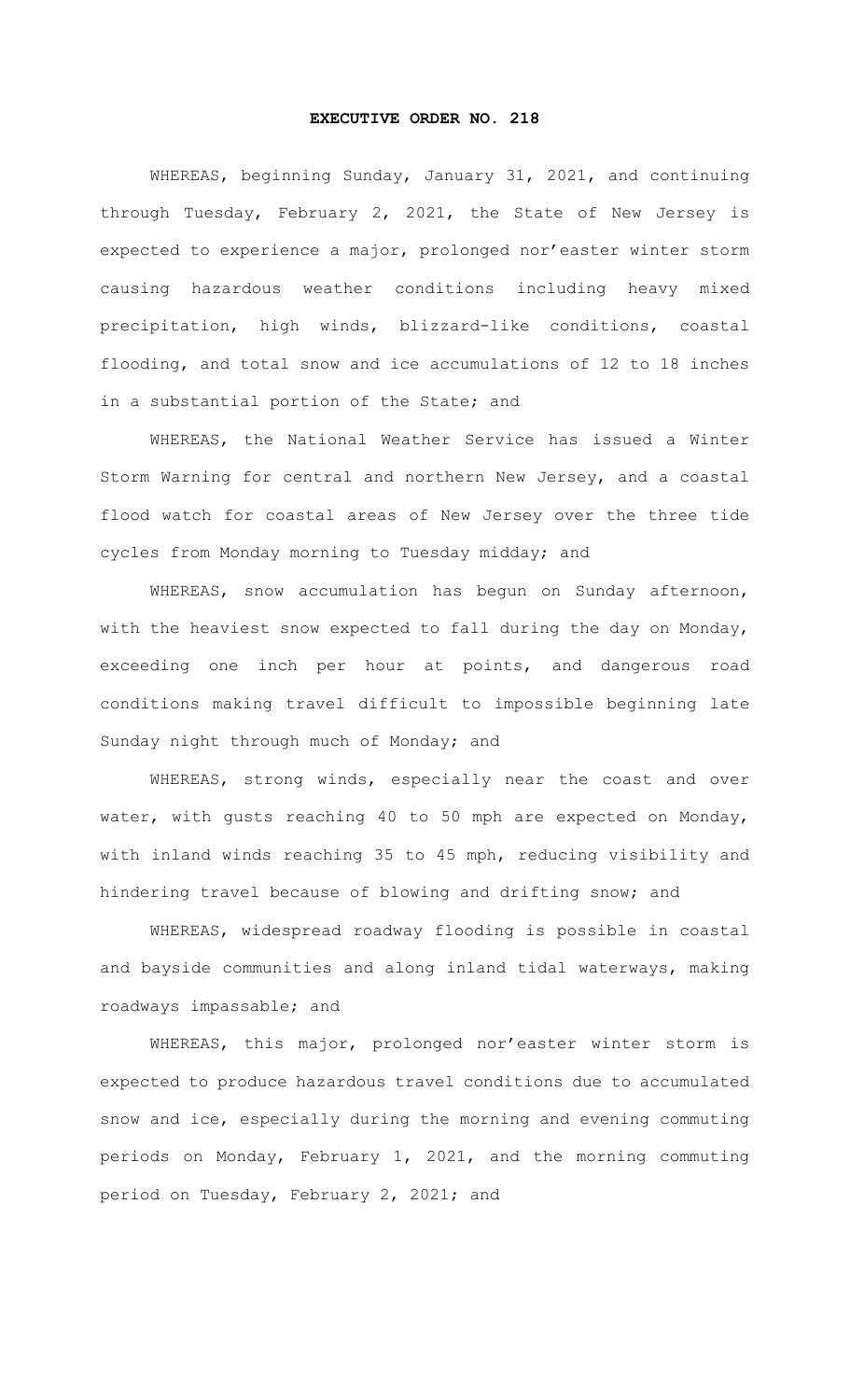## **EXECUTIVE ORDER NO. 218**

WHEREAS, beginning Sunday, January 31, 2021, and continuing through Tuesday, February 2, 2021, the State of New Jersey is expected to experience a major, prolonged nor'easter winter storm causing hazardous weather conditions including heavy mixed precipitation, high winds, blizzard-like conditions, coastal flooding, and total snow and ice accumulations of 12 to 18 inches in a substantial portion of the State; and

WHEREAS, the National Weather Service has issued a Winter Storm Warning for central and northern New Jersey, and a coastal flood watch for coastal areas of New Jersey over the three tide cycles from Monday morning to Tuesday midday; and

WHEREAS, snow accumulation has begun on Sunday afternoon, with the heaviest snow expected to fall during the day on Monday, exceeding one inch per hour at points, and dangerous road conditions making travel difficult to impossible beginning late Sunday night through much of Monday; and

WHEREAS, strong winds, especially near the coast and over water, with gusts reaching 40 to 50 mph are expected on Monday, with inland winds reaching 35 to 45 mph, reducing visibility and hindering travel because of blowing and drifting snow; and

WHEREAS, widespread roadway flooding is possible in coastal and bayside communities and along inland tidal waterways, making roadways impassable; and

WHEREAS, this major, prolonged nor'easter winter storm is expected to produce hazardous travel conditions due to accumulated snow and ice, especially during the morning and evening commuting periods on Monday, February 1, 2021, and the morning commuting period on Tuesday, February 2, 2021; and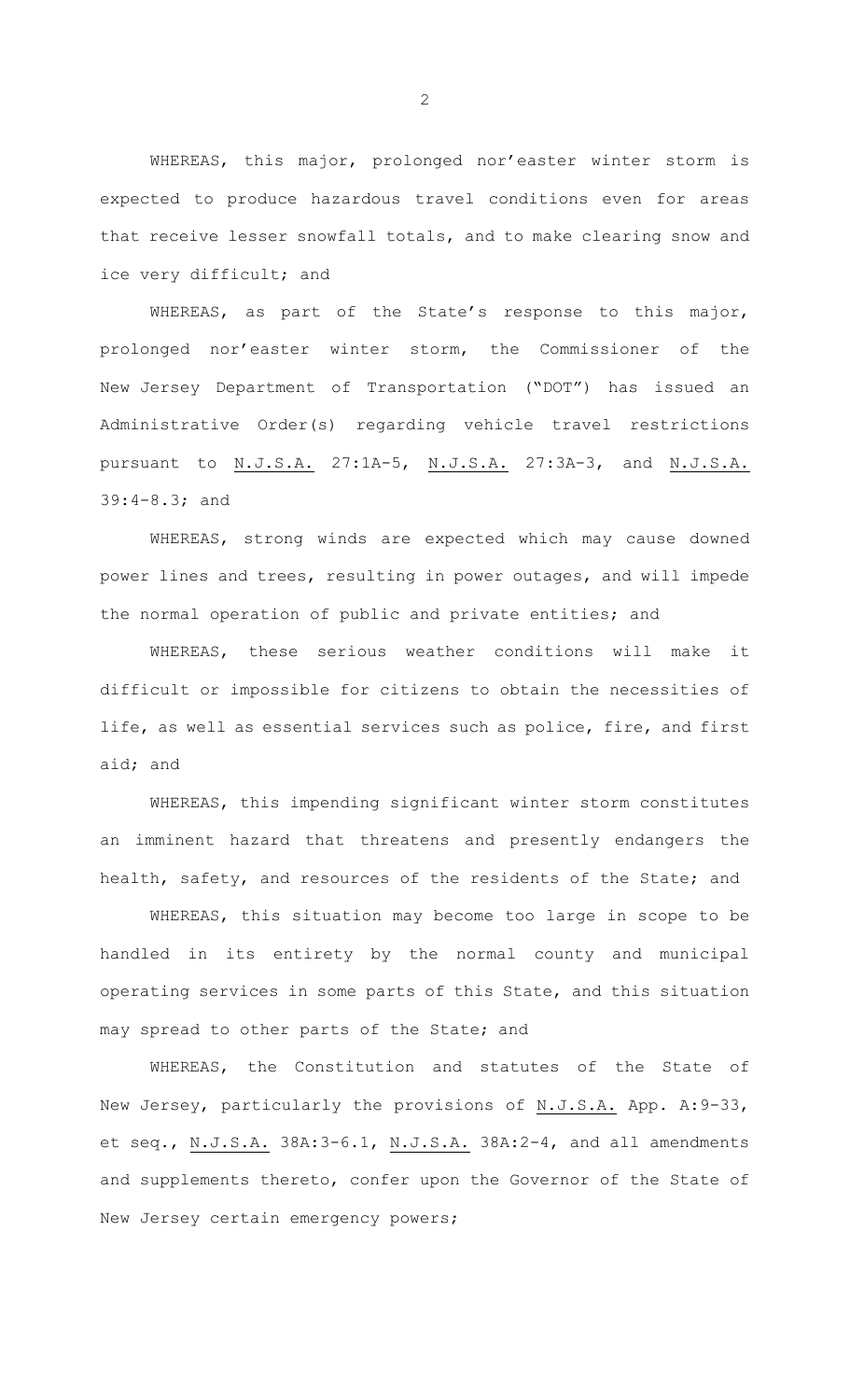WHEREAS, this major, prolonged nor'easter winter storm is expected to produce hazardous travel conditions even for areas that receive lesser snowfall totals, and to make clearing snow and ice very difficult; and

WHEREAS, as part of the State's response to this major, prolonged nor'easter winter storm, the Commissioner of the New Jersey Department of Transportation ("DOT") has issued an Administrative Order(s) regarding vehicle travel restrictions pursuant to N.J.S.A. 27:1A-5, N.J.S.A. 27:3A-3, and N.J.S.A. 39:4-8.3; and

WHEREAS, strong winds are expected which may cause downed power lines and trees, resulting in power outages, and will impede the normal operation of public and private entities; and

WHEREAS, these serious weather conditions will make it difficult or impossible for citizens to obtain the necessities of life, as well as essential services such as police, fire, and first aid; and

WHEREAS, this impending significant winter storm constitutes an imminent hazard that threatens and presently endangers the health, safety, and resources of the residents of the State; and

WHEREAS, this situation may become too large in scope to be handled in its entirety by the normal county and municipal operating services in some parts of this State, and this situation may spread to other parts of the State; and

WHEREAS, the Constitution and statutes of the State of New Jersey, particularly the provisions of N.J.S.A. App. A:9-33, et seq., N.J.S.A. 38A:3-6.1, N.J.S.A. 38A:2-4, and all amendments and supplements thereto, confer upon the Governor of the State of New Jersey certain emergency powers;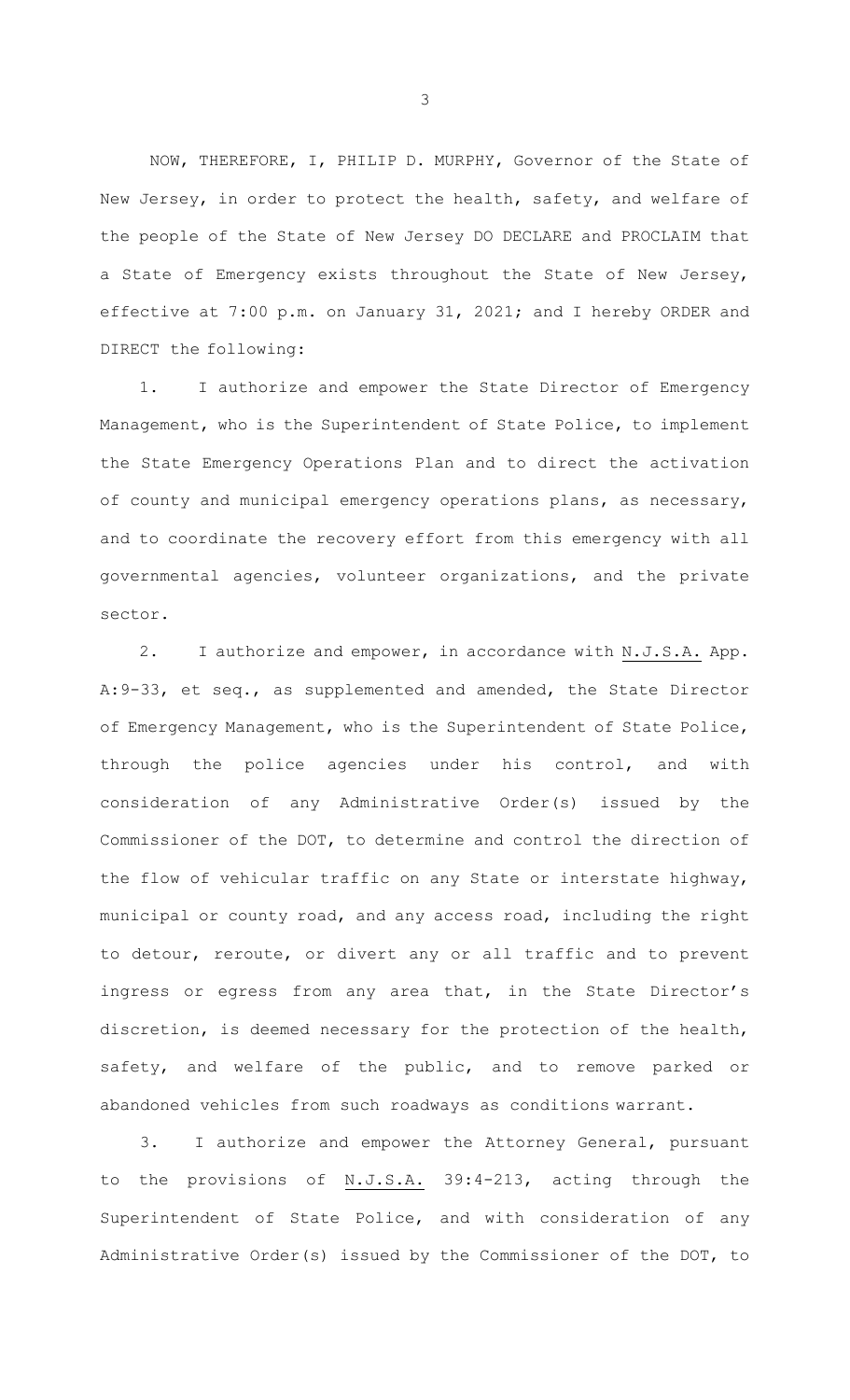NOW, THEREFORE, I, PHILIP D. MURPHY, Governor of the State of New Jersey, in order to protect the health, safety, and welfare of the people of the State of New Jersey DO DECLARE and PROCLAIM that a State of Emergency exists throughout the State of New Jersey, effective at 7:00 p.m. on January 31, 2021; and I hereby ORDER and DIRECT the following:

1. I authorize and empower the State Director of Emergency Management, who is the Superintendent of State Police, to implement the State Emergency Operations Plan and to direct the activation of county and municipal emergency operations plans, as necessary, and to coordinate the recovery effort from this emergency with all governmental agencies, volunteer organizations, and the private sector.

2. I authorize and empower, in accordance with N.J.S.A. App. A:9-33, et seq., as supplemented and amended, the State Director of Emergency Management, who is the Superintendent of State Police, through the police agencies under his control, and with consideration of any Administrative Order(s) issued by the Commissioner of the DOT, to determine and control the direction of the flow of vehicular traffic on any State or interstate highway, municipal or county road, and any access road, including the right to detour, reroute, or divert any or all traffic and to prevent ingress or egress from any area that, in the State Director's discretion, is deemed necessary for the protection of the health, safety, and welfare of the public, and to remove parked or abandoned vehicles from such roadways as conditions warrant.

3. I authorize and empower the Attorney General, pursuant to the provisions of N.J.S.A. 39:4-213, acting through the Superintendent of State Police, and with consideration of any Administrative Order(s) issued by the Commissioner of the DOT, to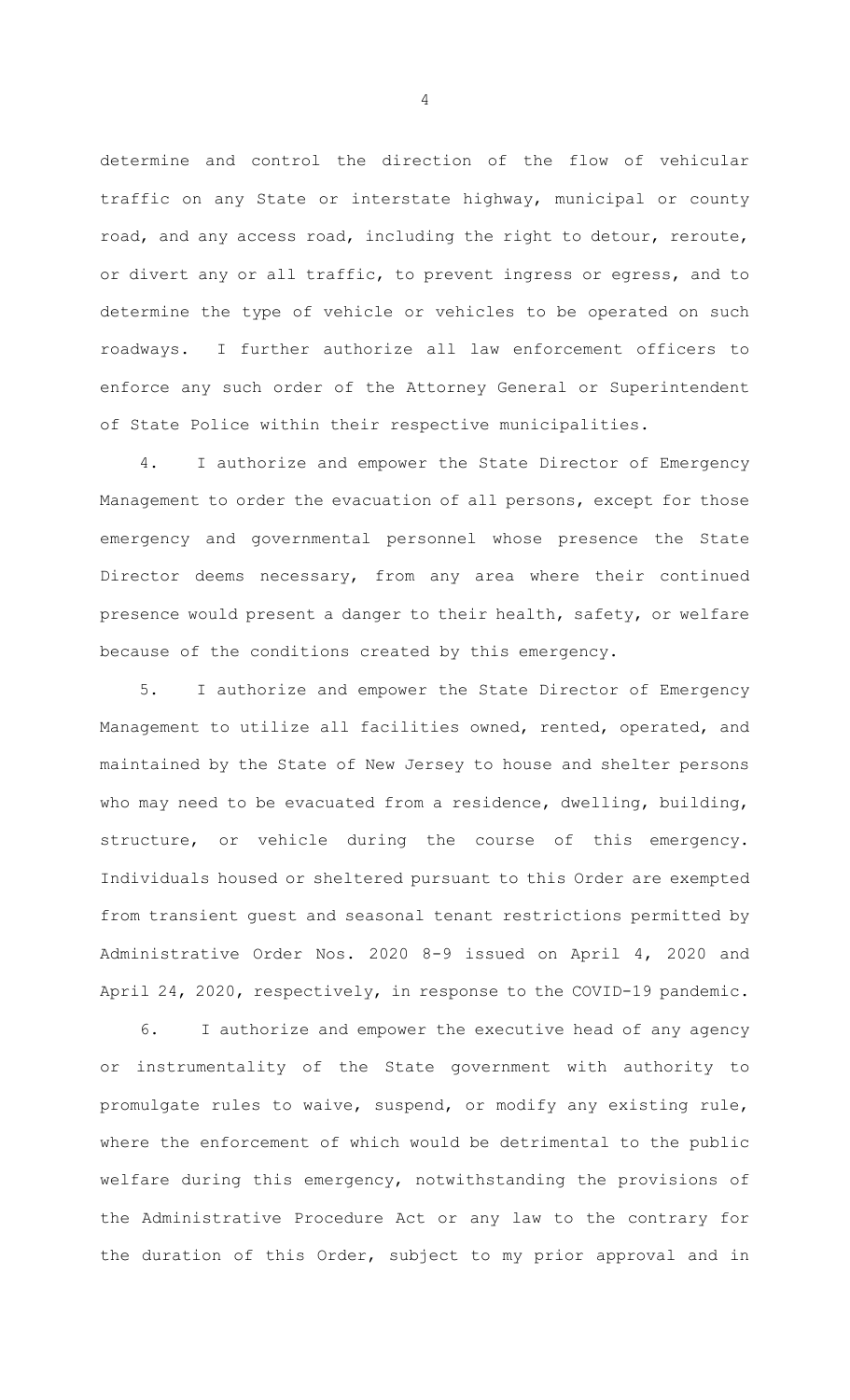determine and control the direction of the flow of vehicular traffic on any State or interstate highway, municipal or county road, and any access road, including the right to detour, reroute, or divert any or all traffic, to prevent ingress or egress, and to determine the type of vehicle or vehicles to be operated on such roadways. I further authorize all law enforcement officers to enforce any such order of the Attorney General or Superintendent of State Police within their respective municipalities.

4. I authorize and empower the State Director of Emergency Management to order the evacuation of all persons, except for those emergency and governmental personnel whose presence the State Director deems necessary, from any area where their continued presence would present a danger to their health, safety, or welfare because of the conditions created by this emergency.

5. I authorize and empower the State Director of Emergency Management to utilize all facilities owned, rented, operated, and maintained by the State of New Jersey to house and shelter persons who may need to be evacuated from a residence, dwelling, building, structure, or vehicle during the course of this emergency. Individuals housed or sheltered pursuant to this Order are exempted from transient guest and seasonal tenant restrictions permitted by Administrative Order Nos. 2020 8-9 issued on April 4, 2020 and April 24, 2020, respectively, in response to the COVID-19 pandemic.

6. I authorize and empower the executive head of any agency or instrumentality of the State government with authority to promulgate rules to waive, suspend, or modify any existing rule, where the enforcement of which would be detrimental to the public welfare during this emergency, notwithstanding the provisions of the Administrative Procedure Act or any law to the contrary for the duration of this Order, subject to my prior approval and in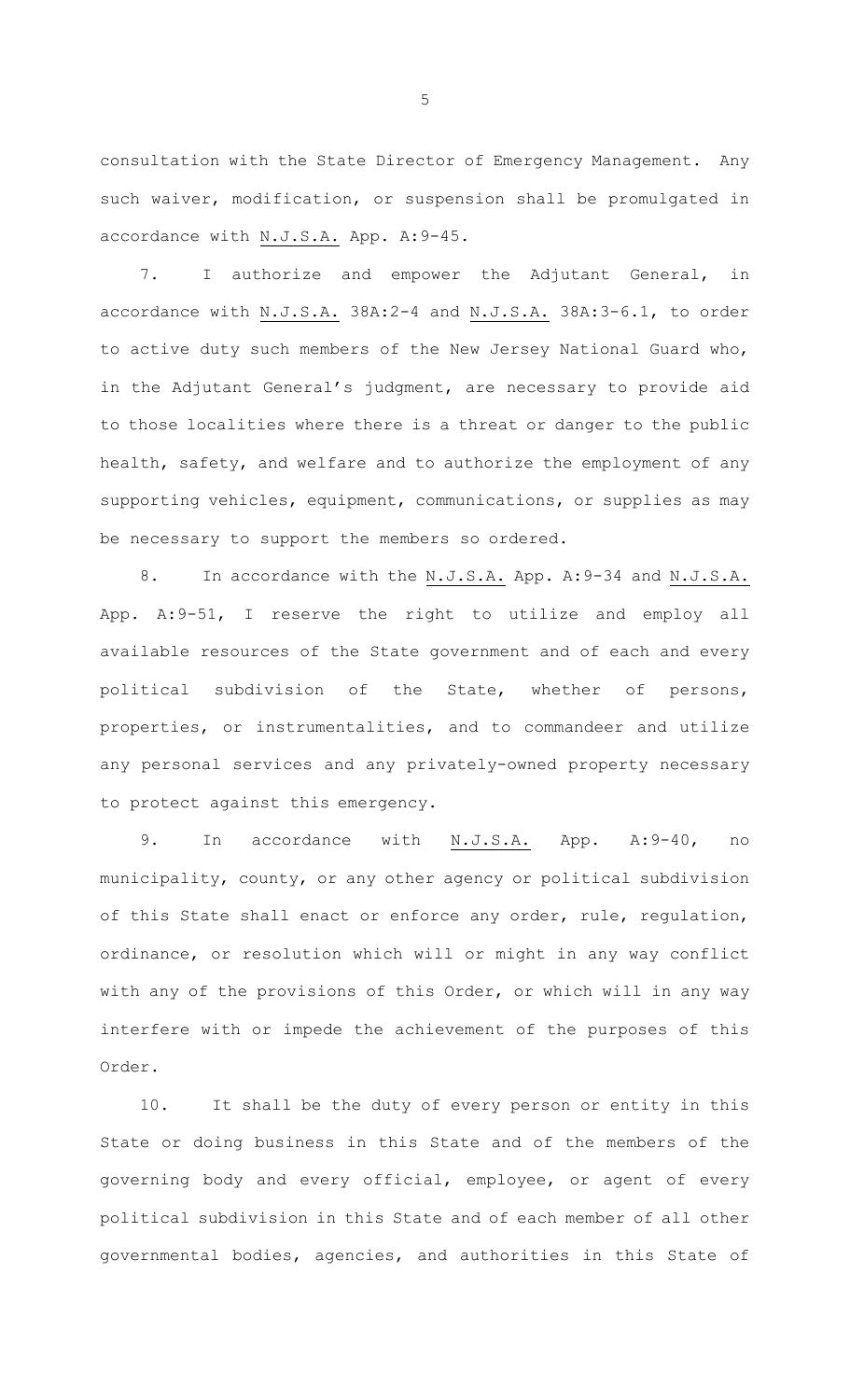consultation with the State Director of Emergency Management. Any such waiver, modification, or suspension shall be promulgated in accordance with N.J.S.A. App. A:9-45.

7. I authorize and empower the Adjutant General, in accordance with N.J.S.A. 38A:2-4 and N.J.S.A. 38A:3-6.1, to order to active duty such members of the New Jersey National Guard who, in the Adjutant General's judgment, are necessary to provide aid to those localities where there is a threat or danger to the public health, safety, and welfare and to authorize the employment of any supporting vehicles, equipment, communications, or supplies as may be necessary to support the members so ordered.

8. In accordance with the N.J.S.A. App. A: 9-34 and N.J.S.A. App. A:9-51, I reserve the right to utilize and employ all available resources of the State government and of each and every political subdivision of the State, whether of persons, properties, or instrumentalities, and to commandeer and utilize any personal services and any privately-owned property necessary to protect against this emergency.

9. In accordance with N.J.S.A. App. A:9-40, no municipality, county, or any other agency or political subdivision of this State shall enact or enforce any order, rule, regulation, ordinance, or resolution which will or might in any way conflict with any of the provisions of this Order, or which will in any way interfere with or impede the achievement of the purposes of this Order.

10. It shall be the duty of every person or entity in this State or doing business in this State and of the members of the governing body and every official, employee, or agent of every political subdivision in this State and of each member of all other governmental bodies, agencies, and authorities in this State of